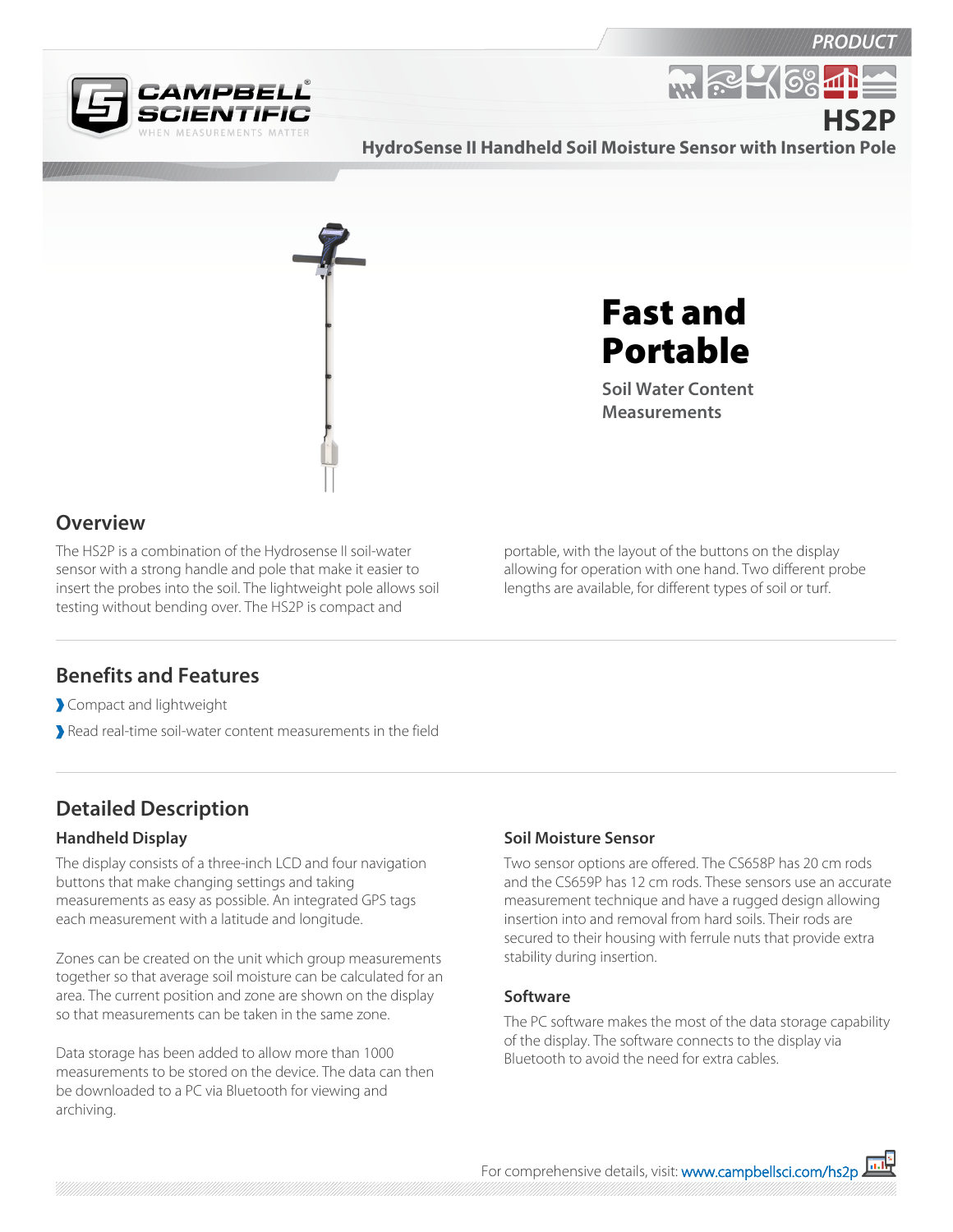

**R. P. 46%** 



**HydroSense II Handheld Soil Moisture Sensor with Insertion Pole HS2P**



Fast and Portable

**Soil Water Content Measurements**

## **Overview**

The HS2P is a combination of the Hydrosense II soil-water sensor with a strong handle and pole that make it easier to insert the probes into the soil. The lightweight pole allows soil testing without bending over. The HS2P is compact and

portable, with the layout of the buttons on the display allowing for operation with one hand. Two different probe lengths are available, for different types of soil or turf.

## **Benefits and Features**

Compact and lightweight

Read real-time soil-water content measurements in the field

# **Detailed Description**

### **Handheld Display**

The display consists of a three-inch LCD and four navigation buttons that make changing settings and taking measurements as easy as possible. An integrated GPS tags each measurement with a latitude and longitude.

Zones can be created on the unit which group measurements together so that average soil moisture can be calculated for an area. The current position and zone are shown on the display so that measurements can be taken in the same zone.

Data storage has been added to allow more than 1000 measurements to be stored on the device. The data can then be downloaded to a PC via Bluetooth for viewing and archiving.

### **Soil Moisture Sensor**

Two sensor options are offered. The CS658P has 20 cm rods and the CS659P has 12 cm rods. These sensors use an accurate measurement technique and have a rugged design allowing insertion into and removal from hard soils. Their rods are secured to their housing with ferrule nuts that provide extra stability during insertion.

### **Software**

The PC software makes the most of the data storage capability of the display. The software connects to the display via Bluetooth to avoid the need for extra cables.